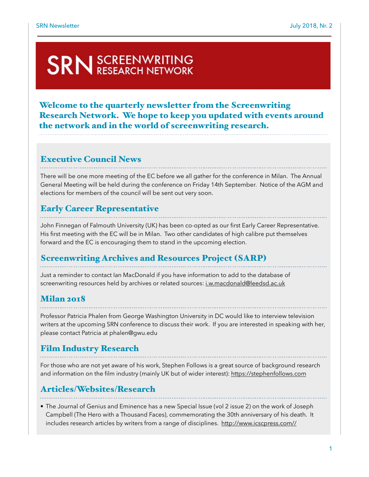# **SRN** SCREENWRITING

Welcome to the quarterly newsletter from the Screenwriting Research Network. We hope to keep you updated with events around the network and in the world of screenwriting research.

#### Executive Council News

There will be one more meeting of the EC before we all gather for the conference in Milan. The Annual General Meeting will be held during the conference on Friday 14th September. Notice of the AGM and elections for members of the council will be sent out very soon.

## Early Career Representative

John Finnegan of Falmouth University (UK) has been co-opted as our first Early Career Representative. His first meeting with the EC will be in Milan. Two other candidates of high calibre put themselves forward and the EC is encouraging them to stand in the upcoming election.

## Screenwriting Archives and Resources Project (SARP)

Just a reminder to contact Ian MacDonald if you have information to add to the database of screenwriting resources held by archives or related sources: [i.w.macdonald@leedsd.ac.uk](mailto:i.w.macdonald@leedsd.ac.uk)

## Milan 2018

Professor Patricia Phalen from George Washington University in DC would like to interview television writers at the upcoming SRN conference to discuss their work. If you are interested in speaking with her, please contact Patricia at phalen@gwu.edu

## Film Industry Research

For those who are not yet aware of his work, Stephen Follows is a great source of background research and information on the film industry (mainly UK but of wider interest): <https://stephenfollows.com>

## Articles/Websites/Research

• The Journal of Genius and Eminence has a new Special Issue (vol 2 issue 2) on the work of Joseph Campbell (The Hero with a Thousand Faces), commemorating the 30th anniversary of his death. It includes research articles by writers from a range of disciplines. [http://www.icscpress.com//](http://www.icscpress.com//index.php?cID=208)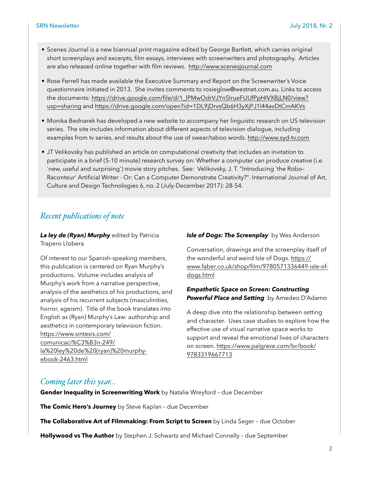- Scenes Journal is a new biannual print magazine edited by George Bartlett, which carries original short screenplays and excerpts, film essays, interviews with screenwriters and photography. Articles are also released online together with film reviews. <http://www.scenesjournal.com>
- Rose Ferrell has made available the Executive Summary and Report on the Screenwriter's Voice questionnaire initiated in 2013. She invites comments to rosieglow@westnet.com.au. Links to access the documents: [https://drive.google.com/file/d/1\\_lPMwOdrVJYnSIrueFUUfPpHIVXBjLN0/view?](https://drive.google.com/file/d/1_lPMwOdrVJYnSIrueFUUfPpHIVXBjLN0/view?usp=sharing) [usp=sharing](https://drive.google.com/file/d/1_lPMwOdrVJYnSIrueFUUfPpHIVXBjLN0/view?usp=sharing) and <https://drive.google.com/open?id=1DL9jDrvsQb6H3yXjPJ1l44avDtCmAKVs>
- Monika Bednarek has developed a new website to accompany her linguistic research on US television series. The site includes information about different aspects of television dialogue, including examples from tv series, and results about the use of swear/taboo words.<http://www.syd-tv.com>
- JT Velikovsky has published an article on computational creativity that includes an invitation to participate in a brief (5-10 minute) research survey on: Whether a computer can produce creative (i.e. `new, useful and surprising') movie story pitches. See: Velikovsky, J. T. "Introducing `the Robo– Raconteur' Artificial Writer - Or: Can a Computer Demonstrate Creativity?". International Journal of Art, Culture and Design Technologies 6, no. 2 (July-December 2017): 28-54.

#### *Recent publications of note*

**La ley de (Ryan) Murphy** edited by Patricia Trapero Llobera

Of interest to our Spanish-speaking members, this publication is centered on Ryan Murphy's productions. Volume includes analysis of Murphy's work from a narrative perspective, analysis of the aesthetics of his productions, and analysis of his recurrent subjects (masculinities, horror, ageism). Title of the book translates into English as (Ryan) Murphy's Law: authorship and aesthetics in contemporary television fiction. [https://www.sintesis.com/](https://www.sintesis.com/comunicaci%C3%B3n-249/la%20ley%20de%20(ryan)%20murphy-ebook-2463.html) [comunicaci%C3%B3n-249/](https://www.sintesis.com/comunicaci%C3%B3n-249/la%20ley%20de%20(ryan)%20murphy-ebook-2463.html) [la%20ley%20de%20\(ryan\)%20murphy](https://www.sintesis.com/comunicaci%C3%B3n-249/la%20ley%20de%20(ryan)%20murphy-ebook-2463.html)[ebook-2463.html](https://www.sintesis.com/comunicaci%C3%B3n-249/la%20ley%20de%20(ryan)%20murphy-ebook-2463.html) 

#### **Isle of Dogs: The Screenplay** by Wes Anderson

Conversation, drawings and the screenplay itself of the wonderful and weird Isle of Dogs. [https://](https://www.faber.co.uk/shop/film/9780571336449-isle-of-dogs.html) [www.faber.co.uk/shop/film/9780571336449-isle-of](https://www.faber.co.uk/shop/film/9780571336449-isle-of-dogs.html)[dogs.html](https://www.faber.co.uk/shop/film/9780571336449-isle-of-dogs.html)

#### *Empathetic Space on Screen: Constructing Powerful Place and Setting* by Amedeo D'Adamo

A deep dive into the relationship between setting and character. Uses case studies to explore how the effective use of visual narrative space works to support and reveal the emotional lives of characters [on screen. https://www.palgrave.com/br/book/](https://www.palgrave.com/br/book/9783319667713) [9783319667713](https://www.palgrave.com/br/book/9783319667713)

#### *Coming later this year…*

**Gender Inequality in Screenwriting Work** by Natalie Wreyford – due December

**The Comic Hero's Journey** by Steve Kaplan – due December

**The Collaborative Art of Filmmaking: From Script to Screen** by Linda Seger – due October

**Hollywood vs The Author** by Stephen J. Schwartz and Michael Connelly – due September